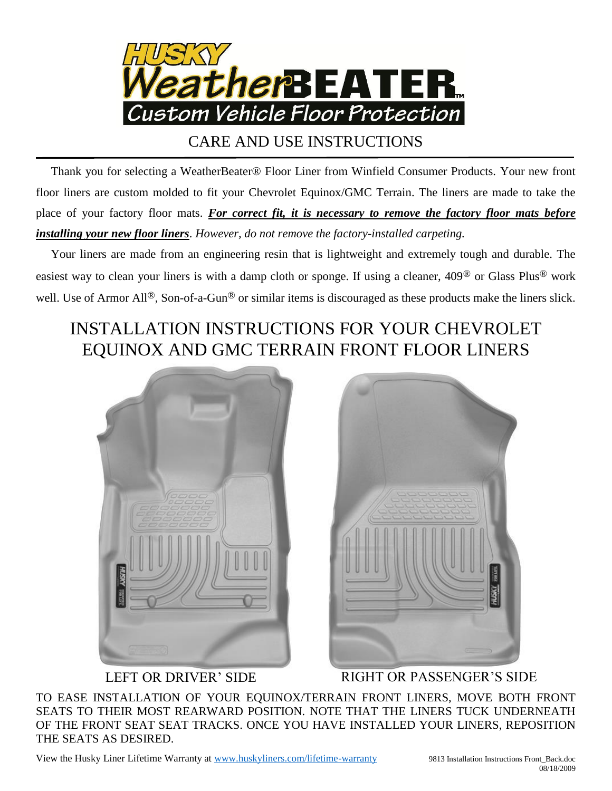

## CARE AND USE INSTRUCTIONS

 Thank you for selecting a WeatherBeater® Floor Liner from Winfield Consumer Products. Your new front floor liners are custom molded to fit your Chevrolet Equinox/GMC Terrain. The liners are made to take the place of your factory floor mats. *For correct fit, it is necessary to remove the factory floor mats before installing your new floor liners*. *However, do not remove the factory-installed carpeting.*

 Your liners are made from an engineering resin that is lightweight and extremely tough and durable. The easiest way to clean your liners is with a damp cloth or sponge. If using a cleaner, 409® or Glass Plus® work well. Use of Armor All<sup>®</sup>, Son-of-a-Gun<sup>®</sup> or similar items is discouraged as these products make the liners slick.

## INSTALLATION INSTRUCTIONS FOR YOUR CHEVROLET EQUINOX AND GMC TERRAIN FRONT FLOOR LINERS





LEFT OR DRIVER' SIDE RIGHT OR PASSENGER'S SIDE

TO EASE INSTALLATION OF YOUR EQUINOX/TERRAIN FRONT LINERS, MOVE BOTH FRONT SEATS TO THEIR MOST REARWARD POSITION. NOTE THAT THE LINERS TUCK UNDERNEATH OF THE FRONT SEAT SEAT TRACKS. ONCE YOU HAVE INSTALLED YOUR LINERS, REPOSITION THE SEATS AS DESIRED.

View the Husky Liner Lifetime Warranty at [www.huskyliners.com/lifetime-warranty](http://www.huskyliners.com/lifetime-warranty) 9813 Installation Instructions Front\_Back.doc